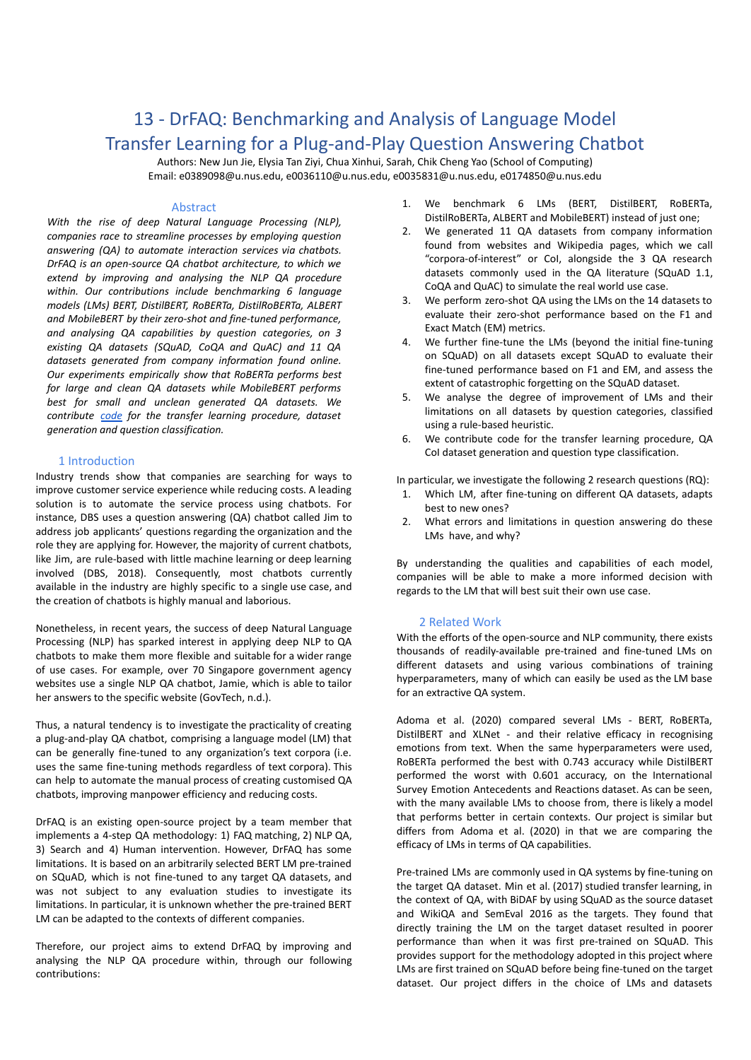# 13 - DrFAQ: Benchmarking and Analysis of Language Model Transfer Learning for a Plug-and-Play Question Answering Chatbot

Authors: New Jun Jie, Elysia Tan Ziyi, Chua Xinhui, Sarah, Chik Cheng Yao (School of Computing) Email: e0389098@u.nus.edu, e0036110@u.nus.edu, e0035831@u.nus.edu, e0174850@u.nus.edu

## Abstract

*With the rise of deep Natural Language Processing (NLP), companies race to streamline processes by employing question answering (QA) to automate interaction services via chatbots. DrFAQ is an open-source QA chatbot architecture, to which we extend by improving and analysing the NLP QA procedure within. Our contributions include benchmarking 6 language models (LMs) BERT, DistilBERT, RoBERTa, DistilRoBERTa, ALBERT and MobileBERT by their zero-shot and fine-tuned performance, and analysing QA capabilities by question categories, on 3 existing QA datasets (SQuAD, CoQA and QuAC) and 11 QA datasets generated from company information found online. Our experiments empirically show that RoBERTa performs best for large and clean QA datasets while MobileBERT performs best for small and unclean generated QA datasets. We contribute [code](https://github.com/jetnew/DrFAQ) for the transfer learning procedure, dataset generation and question classification.*

#### 1 Introduction

Industry trends show that companies are searching for ways to improve customer service experience while reducing costs. A leading solution is to automate the service process using chatbots. For instance, DBS uses a question answering (QA) chatbot called Jim to address job applicants' questions regarding the organization and the role they are applying for. However, the majority of current chatbots, like Jim, are rule-based with little machine learning or deep learning involved (DBS, 2018). Consequently, most chatbots currently available in the industry are highly specific to a single use case, and the creation of chatbots is highly manual and laborious.

Nonetheless, in recent years, the success of deep Natural Language Processing (NLP) has sparked interest in applying deep NLP to QA chatbots to make them more flexible and suitable for a wider range of use cases. For example, over 70 Singapore government agency websites use a single NLP QA chatbot, Jamie, which is able to tailor her answers to the specific website (GovTech, n.d.).

Thus, a natural tendency is to investigate the practicality of creating a plug-and-play QA chatbot, comprising a language model (LM) that can be generally fine-tuned to any organization's text corpora (i.e. uses the same fine-tuning methods regardless of text corpora). This can help to automate the manual process of creating customised QA chatbots, improving manpower efficiency and reducing costs.

DrFAQ is an existing open-source project by a team member that implements a 4-step QA methodology: 1) FAQ matching, 2) NLP QA, 3) Search and 4) Human intervention. However, DrFAQ has some limitations. It is based on an arbitrarily selected BERT LM pre-trained on SQuAD, which is not fine-tuned to any target QA datasets, and was not subject to any evaluation studies to investigate its limitations. In particular, it is unknown whether the pre-trained BERT LM can be adapted to the contexts of different companies.

Therefore, our project aims to extend DrFAQ by improving and analysing the NLP QA procedure within, through our following contributions:

- 1. We benchmark 6 LMs (BERT, DistilBERT, RoBERTa, DistilRoBERTa, ALBERT and MobileBERT) instead of just one;
- 2. We generated 11 QA datasets from company information found from websites and Wikipedia pages, which we call "corpora-of-interest" or CoI, alongside the 3 QA research datasets commonly used in the QA literature (SQuAD 1.1, CoQA and QuAC) to simulate the real world use case.
- 3. We perform zero-shot QA using the LMs on the 14 datasets to evaluate their zero-shot performance based on the F1 and Exact Match (EM) metrics.
- 4. We further fine-tune the LMs (beyond the initial fine-tuning on SQuAD) on all datasets except SQuAD to evaluate their fine-tuned performance based on F1 and EM, and assess the extent of catastrophic forgetting on the SQuAD dataset.
- 5. We analyse the degree of improvement of LMs and their limitations on all datasets by question categories, classified using a rule-based heuristic.
- 6. We contribute code for the transfer learning procedure, QA CoI dataset generation and question type classification.

In particular, we investigate the following 2 research questions (RQ):

- 1. Which LM, after fine-tuning on different QA datasets, adapts best to new ones?
- 2. What errors and limitations in question answering do these LMs have, and why?

By understanding the qualities and capabilities of each model, companies will be able to make a more informed decision with regards to the LM that will best suit their own use case.

#### 2 Related Work

With the efforts of the open-source and NLP community, there exists thousands of readily-available pre-trained and fine-tuned LMs on different datasets and using various combinations of training hyperparameters, many of which can easily be used as the LM base for an extractive QA system.

Adoma et al. (2020) compared several LMs - BERT, RoBERTa, DistilBERT and XLNet - and their relative efficacy in recognising emotions from text. When the same hyperparameters were used, RoBERTa performed the best with 0.743 accuracy while DistilBERT performed the worst with 0.601 accuracy, on the International Survey Emotion Antecedents and Reactions dataset. As can be seen, with the many available LMs to choose from, there is likely a model that performs better in certain contexts. Our project is similar but differs from Adoma et al. (2020) in that we are comparing the efficacy of LMs in terms of QA capabilities.

Pre-trained LMs are commonly used in QA systems by fine-tuning on the target QA dataset. Min et al. (2017) studied transfer learning, in the context of QA, with BiDAF by using SQuAD as the source dataset and WikiQA and SemEval 2016 as the targets. They found that directly training the LM on the target dataset resulted in poorer performance than when it was first pre-trained on SQuAD. This provides support for the methodology adopted in this project where LMs are first trained on SQuAD before being fine-tuned on the target dataset. Our project differs in the choice of LMs and datasets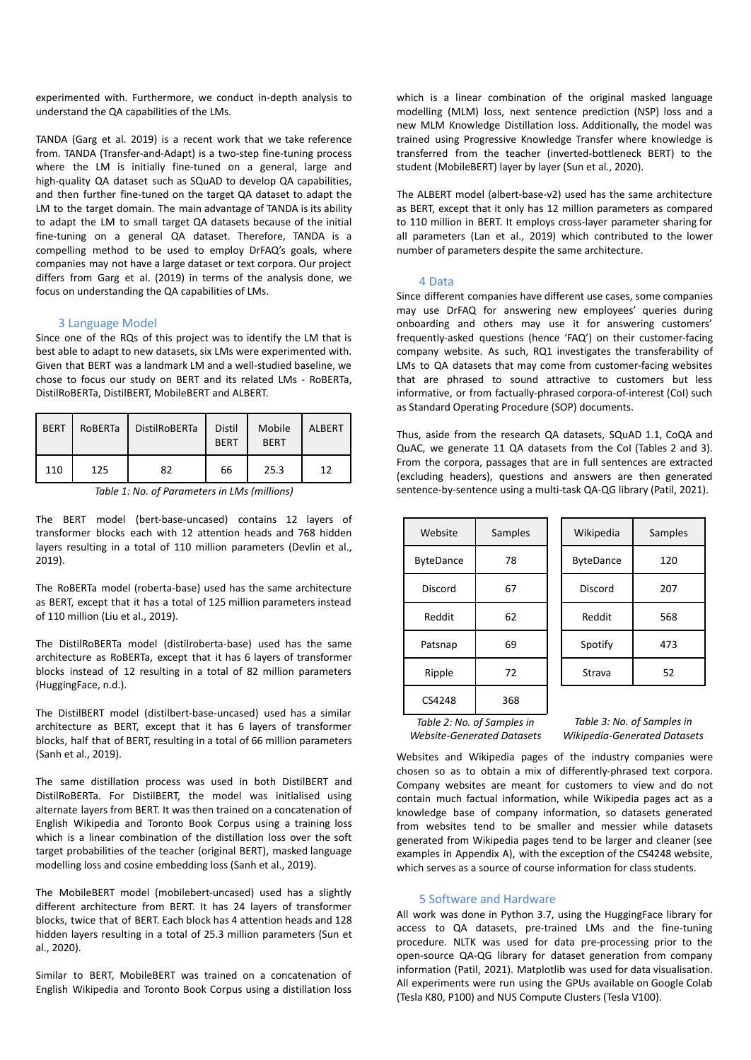experimented with. Furthermore, we conduct in-depth analysis to understand the QA capabilities of the LMs.

TANDA (Garg et al. 2019) is a recent work that we take reference from. TANDA (Transfer-and-Adapt) is a two-step fine-tuning process where the LM is initially fine-tuned on a general, large and high-quality QA dataset such as SQuAD to develop QA capabilities, and then further fine-tuned on the target QA dataset to adapt the LM to the target domain. The main advantage of TANDA is its ability to adapt the LM to small target QA datasets because of the initial fine-tuning on a general QA dataset. Therefore, TANDA is a compelling method to be used to employ DrFAQ's goals, where companies may not have a large dataset or text corpora. Our project differs from Garg et al. (2019) in terms of the analysis done, we focus on understanding the QA capabilities of LMs.

## 3 Language Model

Since one of the RQs of this project was to identify the LM that is best able to adapt to new datasets, six LMs were experimented with. Given that BERT was a landmark LM and a well-studied baseline, we chose to focus our study on BERT and its related LMs - RoBERTa, DistilRoBERTa, DistilBERT, MobileBERT and ALBERT.

| <b>BERT</b> | <b>ROBERTa</b> | <b>DistilRoBERTa</b> | <b>Distil</b><br><b>BERT</b> | Mobile<br><b>BERT</b> | <b>ALBERT</b> |
|-------------|----------------|----------------------|------------------------------|-----------------------|---------------|
| 110         | 125            | 82                   | 66                           | 25.3                  | 12            |

*Table 1: No. of Parameters in LMs (millions)*

The BERT model (bert-base-uncased) contains 12 layers of transformer blocks each with 12 attention heads and 768 hidden layers resulting in a total of 110 million parameters (Devlin et al., 2019).

The RoBERTa model (roberta-base) used has the same architecture as BERT, except that it has a total of 125 million parameters instead of 110 million (Liu et al., 2019).

The DistilRoBERTa model (distilroberta-base) used has the same architecture as RoBERTa, except that it has 6 layers of transformer blocks instead of 12 resulting in a total of 82 million parameters (HuggingFace, n.d.).

The DistilBERT model (distilbert-base-uncased) used has a similar architecture as BERT, except that it has 6 layers of transformer blocks, half that of BERT, resulting in a total of 66 million parameters (Sanh et al., 2019).

The same distillation process was used in both DistilBERT and DistilRoBERTa. For DistilBERT, the model was initialised using alternate layers from BERT. It was then trained on a concatenation of English Wikipedia and Toronto Book Corpus using a training loss which is a linear combination of the distillation loss over the soft target probabilities of the teacher (original BERT), masked language modelling loss and cosine embedding loss (Sanh et al., 2019).

The MobileBERT model (mobilebert-uncased) used has a slightly different architecture from BERT. It has 24 layers of transformer blocks, twice that of BERT. Each block has 4 attention heads and 128 hidden layers resulting in a total of 25.3 million parameters (Sun et al., 2020).

Similar to BERT, MobileBERT was trained on a concatenation of English Wikipedia and Toronto Book Corpus using a distillation loss

which is a linear combination of the original masked language modelling (MLM) loss, next sentence prediction (NSP) loss and a new MLM Knowledge Distillation loss. Additionally, the model was trained using Progressive Knowledge Transfer where knowledge is transferred from the teacher (inverted-bottleneck BERT) to the student (MobileBERT) layer by layer (Sun et al., 2020).

The ALBERT model (albert-base-v2) used has the same architecture as BERT, except that it only has 12 million parameters as compared to 110 million in BERT. It employs cross-layer parameter sharing for all parameters (Lan et al., 2019) which contributed to the lower number of parameters despite the same architecture.

#### 4 Data

Since different companies have different use cases, some companies may use DrFAQ for answering new employees' queries during onboarding and others may use it for answering customers' frequently-asked questions (hence 'FAQ') on their customer-facing company website. As such, RQ1 investigates the transferability of LMs to QA datasets that may come from customer-facing websites that are phrased to sound attractive to customers but less informative, or from factually-phrased corpora-of-interest (CoI) such as Standard Operating Procedure (SOP) documents.

Thus, aside from the research QA datasets, SQuAD 1.1, CoQA and QuAC, we generate 11 QA datasets from the CoI (Tables 2 and 3). From the corpora, passages that are in full sentences are extracted (excluding headers), questions and answers are then generated sentence-by-sentence using a multi-task QA-QG library (Patil, 2021).

| Website          | Samples |
|------------------|---------|
| <b>ByteDance</b> | 78      |
| Discord          | 67      |
| Reddit           | 62      |
| Patsnap          | 69      |
| Ripple           | 72      |
| CS4248           | 368     |

| Wikipedia        | Samples |
|------------------|---------|
| <b>ByteDance</b> | 120     |
| Discord          | 207     |
| Reddit           | 568     |
| Spotify          | 473     |
| Strava           | 52      |

*Table 2: No. of Samples in Website-Generated Datasets*

*Table 3: No. of Samples in Wikipedia-Generated Datasets*

Websites and Wikipedia pages of the industry companies were chosen so as to obtain a mix of differently-phrased text corpora. Company websites are meant for customers to view and do not contain much factual information, while Wikipedia pages act as a knowledge base of company information, so datasets generated from websites tend to be smaller and messier while datasets generated from Wikipedia pages tend to be larger and cleaner (see examples in Appendix A), with the exception of the CS4248 website, which serves as a source of course information for class students.

### 5 Software and Hardware

All work was done in Python 3.7, using the HuggingFace library for access to QA datasets, pre-trained LMs and the fine-tuning procedure. NLTK was used for data pre-processing prior to the open-source QA-QG library for dataset generation from company information (Patil, 2021). Matplotlib was used for data visualisation. All experiments were run using the GPUs available on Google Colab (Tesla K80, P100) and NUS Compute Clusters (Tesla V100).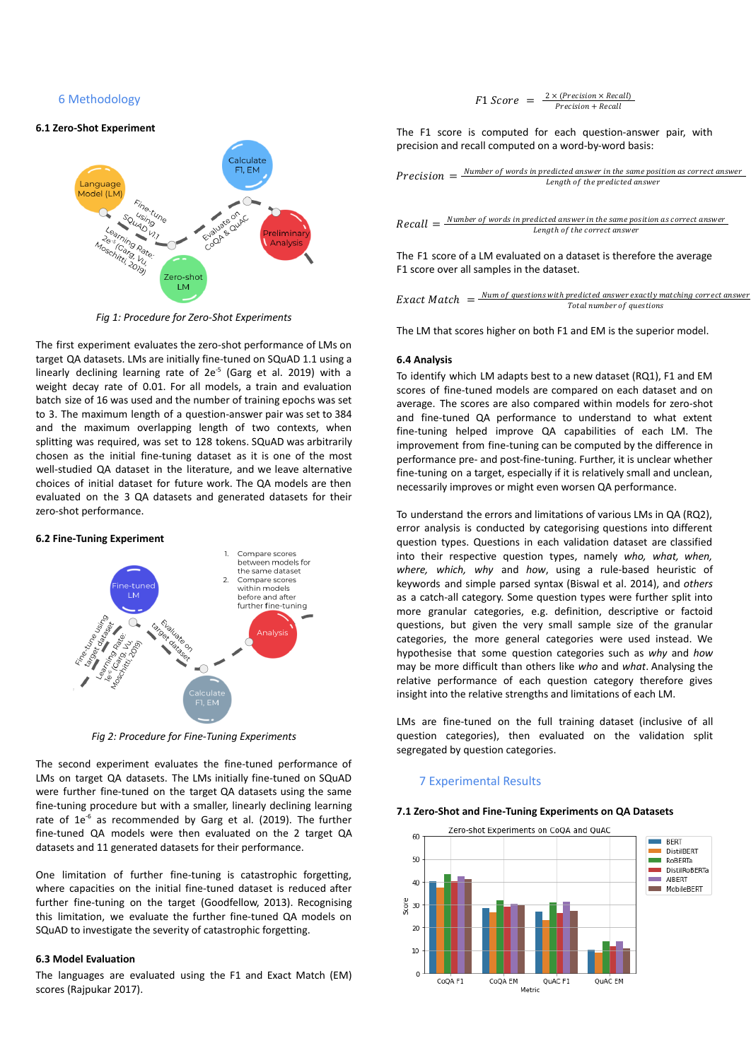6 Methodology

#### **6.1 Zero-Shot Experiment**



*Fig 1: Procedure for Zero-Shot Experiments*

The first experiment evaluates the zero-shot performance of LMs on target QA datasets. LMs are initially fine-tuned on SQuAD 1.1 using a linearly declining learning rate of 2e<sup>-5</sup> (Garg et al. 2019) with a weight decay rate of 0.01. For all models, a train and evaluation batch size of 16 was used and the number of training epochs was set to 3. The maximum length of a question-answer pair was set to 384 and the maximum overlapping length of two contexts, when splitting was required, was set to 128 tokens. SQuAD was arbitrarily chosen as the initial fine-tuning dataset as it is one of the most well-studied QA dataset in the literature, and we leave alternative choices of initial dataset for future work. The QA models are then evaluated on the 3 QA datasets and generated datasets for their zero-shot performance.





*Fig 2: Procedure for Fine-Tuning Experiments*

The second experiment evaluates the fine-tuned performance of LMs on target QA datasets. The LMs initially fine-tuned on SQuAD were further fine-tuned on the target QA datasets using the same fine-tuning procedure but with a smaller, linearly declining learning rate of  $1e^{-6}$  as recommended by Garg et al. (2019). The further fine-tuned QA models were then evaluated on the 2 target QA datasets and 11 generated datasets for their performance.

One limitation of further fine-tuning is catastrophic forgetting, where capacities on the initial fine-tuned dataset is reduced after further fine-tuning on the target (Goodfellow, 2013). Recognising this limitation, we evaluate the further fine-tuned QA models on SQuAD to investigate the severity of catastrophic forgetting.

#### **6.3 Model Evaluation**

The languages are evaluated using the F1 and Exact Match (EM) scores (Rajpukar 2017).

$$
F1 \, Score = \frac{2 \times (Precision \times Recall)}{Precision + Recall}
$$

The F1 score is computed for each question-answer pair, with precision and recall computed on a word-by-word basis:

*Precision* = 
$$
\frac{Number\ of\ words\ in\ predicted\ answer\ in\ the\ same\ position\ as\ correct\ answer}{Length\ of\ the\ predicted\ answer}
$$

 $Recall = \frac{Number\ of\ words\ in\ predicted\ answer\ in\ the\ same\ position\ as\ correct\ answer}{Length\ of\ the\ correct\ answer}$ Lenath of the correct answer

The F1 score of a LM evaluated on a dataset is therefore the average F1 score over all samples in the dataset.

Exact Match  $=$   $\frac{Num\ of\ questions\ with\ predicted\ answer\ exactly\ matching\ correct\ answer}{Total\ number\ of\ questions}$ Total number of questions

The LM that scores higher on both F1 and EM is the superior model.

#### **6.4 Analysis**

To identify which LM adapts best to a new dataset (RQ1), F1 and EM scores of fine-tuned models are compared on each dataset and on average. The scores are also compared within models for zero-shot and fine-tuned QA performance to understand to what extent fine-tuning helped improve QA capabilities of each LM. The improvement from fine-tuning can be computed by the difference in performance pre- and post-fine-tuning. Further, it is unclear whether fine-tuning on a target, especially if it is relatively small and unclean, necessarily improves or might even worsen QA performance.

To understand the errors and limitations of various LMs in QA (RQ2), error analysis is conducted by categorising questions into different question types. Questions in each validation dataset are classified into their respective question types, namely *who, what, when, where, which, why* and *how*, using a rule-based heuristic of keywords and simple parsed syntax (Biswal et al. 2014), and *others* as a catch-all category. Some question types were further split into more granular categories, e.g. definition, descriptive or factoid questions, but given the very small sample size of the granular categories, the more general categories were used instead. We hypothesise that some question categories such as *why* and *how* may be more difficult than others like *who* and *what*. Analysing the relative performance of each question category therefore gives insight into the relative strengths and limitations of each LM.

LMs are fine-tuned on the full training dataset (inclusive of all question categories), then evaluated on the validation split segregated by question categories.

#### 7 Experimental Results

#### **7.1 Zero-Shot and Fine-Tuning Experiments on QA Datasets**

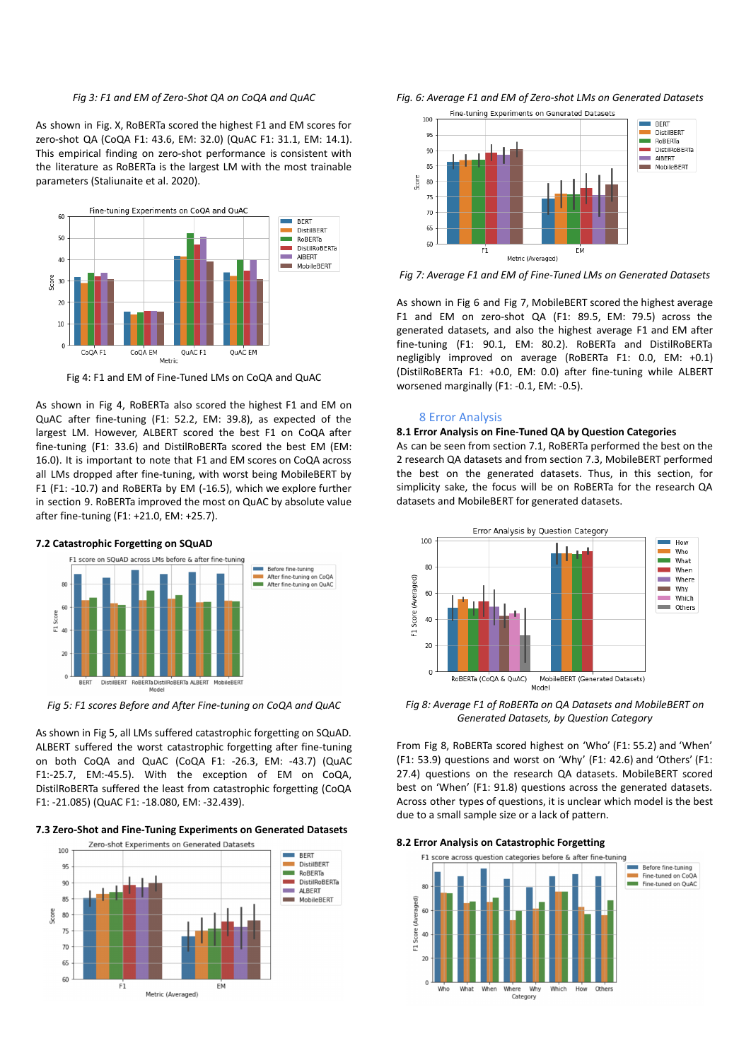#### *Fig 3: F1 and EM of Zero-Shot QA on CoQA and QuAC*

As shown in Fig. X, RoBERTa scored the highest F1 and EM scores for zero-shot QA (CoQA F1: 43.6, EM: 32.0) (QuAC F1: 31.1, EM: 14.1). This empirical finding on zero-shot performance is consistent with the literature as RoBERTa is the largest LM with the most trainable parameters (Staliunaite et al. 2020).



Fig 4: F1 and EM of Fine-Tuned LMs on CoQA and QuAC

As shown in Fig 4, RoBERTa also scored the highest F1 and EM on QuAC after fine-tuning (F1: 52.2, EM: 39.8), as expected of the largest LM. However, ALBERT scored the best F1 on CoQA after fine-tuning (F1: 33.6) and DistilRoBERTa scored the best EM (EM: 16.0). It is important to note that F1 and EM scores on CoQA across all LMs dropped after fine-tuning, with worst being MobileBERT by F1 (F1: -10.7) and RoBERTa by EM (-16.5), which we explore further in section 9. RoBERTa improved the most on QuAC by absolute value after fine-tuning (F1: +21.0, EM: +25.7).





*Fig 5: F1 scores Before and After Fine-tuning on CoQA and QuAC*

As shown in Fig 5, all LMs suffered catastrophic forgetting on SQuAD. ALBERT suffered the worst catastrophic forgetting after fine-tuning on both CoQA and QuAC (CoQA F1: -26.3, EM: -43.7) (QuAC F1:-25.7, EM:-45.5). With the exception of EM on CoQA, DistilRoBERTa suffered the least from catastrophic forgetting (CoQA F1: -21.085) (QuAC F1: -18.080, EM: -32.439).

#### **7.3 Zero-Shot and Fine-Tuning Experiments on Generated Datasets**







*Fig 7: Average F1 and EM of Fine-Tuned LMs on Generated Datasets*

As shown in Fig 6 and Fig 7, MobileBERT scored the highest average F1 and EM on zero-shot QA (F1: 89.5, EM: 79.5) across the generated datasets, and also the highest average F1 and EM after fine-tuning (F1: 90.1, EM: 80.2). RoBERTa and DistilRoBERTa negligibly improved on average (RoBERTa F1: 0.0, EM: +0.1) (DistilRoBERTa F1: +0.0, EM: 0.0) after fine-tuning while ALBERT worsened marginally (F1: -0.1, EM: -0.5).

#### 8 Error Analysis

#### **8.1 Error Analysis on Fine-Tuned QA by Question Categories**

As can be seen from section 7.1, RoBERTa performed the best on the 2 research QA datasets and from section 7.3, MobileBERT performed the best on the generated datasets. Thus, in this section, for simplicity sake, the focus will be on RoBERTa for the research QA datasets and MobileBERT for generated datasets.



*Fig 8: Average F1 of RoBERTa on QA Datasets and MobileBERT on Generated Datasets, by Question Category*

From Fig 8, RoBERTa scored highest on 'Who' (F1: 55.2) and 'When' (F1: 53.9) questions and worst on 'Why' (F1: 42.6) and 'Others' (F1: 27.4) questions on the research QA datasets. MobileBERT scored best on 'When' (F1: 91.8) questions across the generated datasets. Across other types of questions, it is unclear which model is the best due to a small sample size or a lack of pattern.



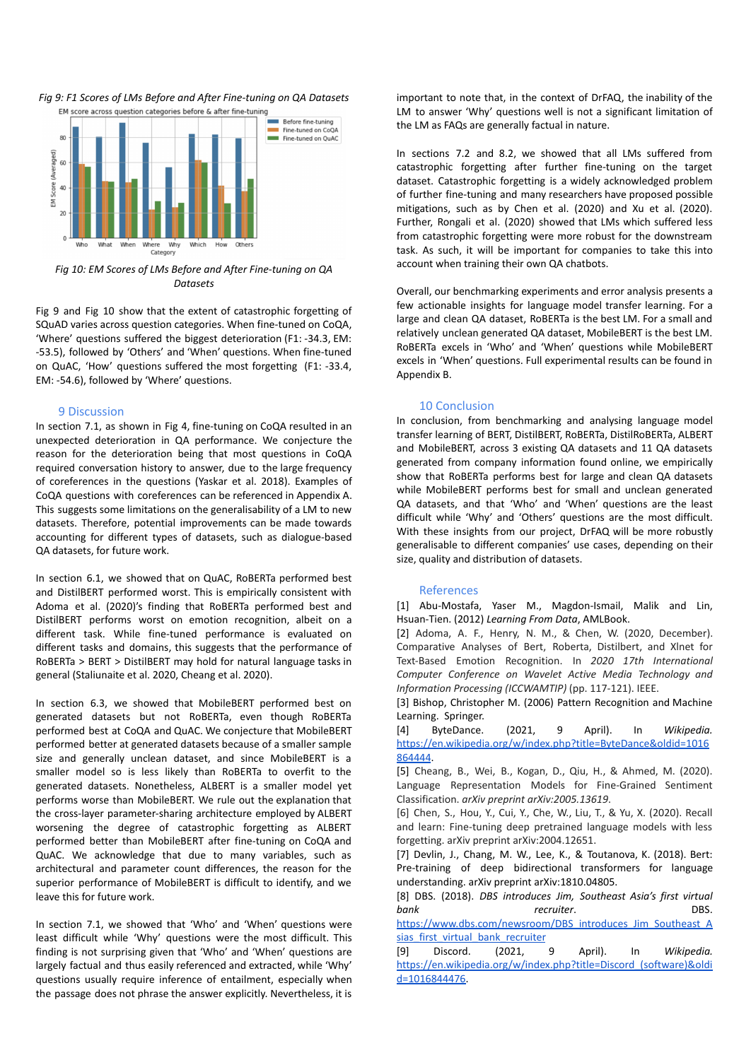*Fig 9: F1 Scores of LMs Before and After Fine-tuning on QA Datasets*



*Fig 10: EM Scores of LMs Before and After Fine-tuning on QA Datasets*

Fig 9 and Fig 10 show that the extent of catastrophic forgetting of SQuAD varies across question categories. When fine-tuned on CoQA, 'Where' questions suffered the biggest deterioration (F1: -34.3, EM: -53.5), followed by 'Others' and 'When' questions. When fine-tuned on QuAC, 'How' questions suffered the most forgetting (F1: -33.4, EM: -54.6), followed by 'Where' questions.

## 9 Discussion

In section 7.1, as shown in Fig 4, fine-tuning on CoQA resulted in an unexpected deterioration in QA performance. We conjecture the reason for the deterioration being that most questions in CoQA required conversation history to answer, due to the large frequency of coreferences in the questions (Yaskar et al. 2018). Examples of CoQA questions with coreferences can be referenced in Appendix A. This suggests some limitations on the generalisability of a LM to new datasets. Therefore, potential improvements can be made towards accounting for different types of datasets, such as dialogue-based QA datasets, for future work.

In section 6.1, we showed that on QuAC, RoBERTa performed best and DistilBERT performed worst. This is empirically consistent with Adoma et al. (2020)'s finding that RoBERTa performed best and DistilBERT performs worst on emotion recognition, albeit on a different task. While fine-tuned performance is evaluated on different tasks and domains, this suggests that the performance of RoBERTa > BERT > DistilBERT may hold for natural language tasks in general (Staliunaite et al. 2020, Cheang et al. 2020).

In section 6.3, we showed that MobileBERT performed best on generated datasets but not RoBERTa, even though RoBERTa performed best at CoQA and QuAC. We conjecture that MobileBERT performed better at generated datasets because of a smaller sample size and generally unclean dataset, and since MobileBERT is a smaller model so is less likely than RoBERTa to overfit to the generated datasets. Nonetheless, ALBERT is a smaller model yet performs worse than MobileBERT. We rule out the explanation that the cross-layer parameter-sharing architecture employed by ALBERT worsening the degree of catastrophic forgetting as ALBERT performed better than MobileBERT after fine-tuning on CoQA and QuAC. We acknowledge that due to many variables, such as architectural and parameter count differences, the reason for the superior performance of MobileBERT is difficult to identify, and we leave this for future work.

In section 7.1, we showed that 'Who' and 'When' questions were least difficult while 'Why' questions were the most difficult. This finding is not surprising given that 'Who' and 'When' questions are largely factual and thus easily referenced and extracted, while 'Why' questions usually require inference of entailment, especially when the passage does not phrase the answer explicitly. Nevertheless, it is

important to note that, in the context of DrFAQ, the inability of the LM to answer 'Why' questions well is not a significant limitation of the LM as FAQs are generally factual in nature.

In sections 7.2 and 8.2, we showed that all LMs suffered from catastrophic forgetting after further fine-tuning on the target dataset. Catastrophic forgetting is a widely acknowledged problem of further fine-tuning and many researchers have proposed possible mitigations, such as by Chen et al. (2020) and Xu et al. (2020). Further, Rongali et al. (2020) showed that LMs which suffered less from catastrophic forgetting were more robust for the downstream task. As such, it will be important for companies to take this into account when training their own QA chatbots.

Overall, our benchmarking experiments and error analysis presents a few actionable insights for language model transfer learning. For a large and clean QA dataset, RoBERTa is the best LM. For a small and relatively unclean generated QA dataset, MobileBERT is the best LM. RoBERTa excels in 'Who' and 'When' questions while MobileBERT excels in 'When' questions. Full experimental results can be found in Appendix B.

## 10 Conclusion

In conclusion, from benchmarking and analysing language model transfer learning of BERT, DistilBERT, RoBERTa, DistilRoBERTa, ALBERT and MobileBERT, across 3 existing QA datasets and 11 QA datasets generated from company information found online, we empirically show that RoBERTa performs best for large and clean QA datasets while MobileBERT performs best for small and unclean generated QA datasets, and that 'Who' and 'When' questions are the least difficult while 'Why' and 'Others' questions are the most difficult. With these insights from our project, DrFAQ will be more robustly generalisable to different companies' use cases, depending on their size, quality and distribution of datasets.

## References

[1] Abu-Mostafa, Yaser M., Magdon-Ismail, Malik and Lin, Hsuan-Tien. (2012) *Learning From Data*, AMLBook.

[2] Adoma, A. F., Henry, N. M., & Chen, W. (2020, December). Comparative Analyses of Bert, Roberta, Distilbert, and Xlnet for Text-Based Emotion Recognition. In *2020 17th International Computer Conference on Wavelet Active Media Technology and Information Processing (ICCWAMTIP)* (pp. 117-121). IEEE.

[3] Bishop, Christopher M. (2006) Pattern Recognition and Machine Learning. Springer.

[4] ByteDance. (2021, 9 April). In *Wikipedia.* [https://en.wikipedia.org/w/index.php?title=ByteDance&oldid=1016](https://en.wikipedia.org/w/index.php?title=ByteDance&oldid=1016864444) [864444](https://en.wikipedia.org/w/index.php?title=ByteDance&oldid=1016864444).

[5] Cheang, B., Wei, B., Kogan, D., Qiu, H., & Ahmed, M. (2020). Language Representation Models for Fine-Grained Sentiment Classification. *arXiv preprint arXiv:2005.13619*.

[6] Chen, S., Hou, Y., Cui, Y., Che, W., Liu, T., & Yu, X. (2020). Recall and learn: Fine-tuning deep pretrained language models with less forgetting. arXiv preprint arXiv:2004.12651.

[7] Devlin, J., Chang, M. W., Lee, K., & Toutanova, K. (2018). Bert: Pre-training of deep bidirectional transformers for language understanding. arXiv preprint arXiv:1810.04805.

[8] DBS. (2018). *DBS introduces Jim, Southeast Asia's first virtual bank recruiter*. DBS.

[https://www.dbs.com/newsroom/DBS\\_introduces\\_Jim\\_Southeast\\_A](https://www.dbs.com/newsroom/DBS_introduces_Jim_Southeast_Asias_first_virtual_bank_recruiter) sias first virtual bank recruiter

[9] Discord. (2021, 9 April). In *Wikipedia.* [https://en.wikipedia.org/w/index.php?title=Discord\\_\(software\)&oldi](https://en.wikipedia.org/w/index.php?title=Discord_(software)&oldid=1016844476) [d=1016844476.](https://en.wikipedia.org/w/index.php?title=Discord_(software)&oldid=1016844476)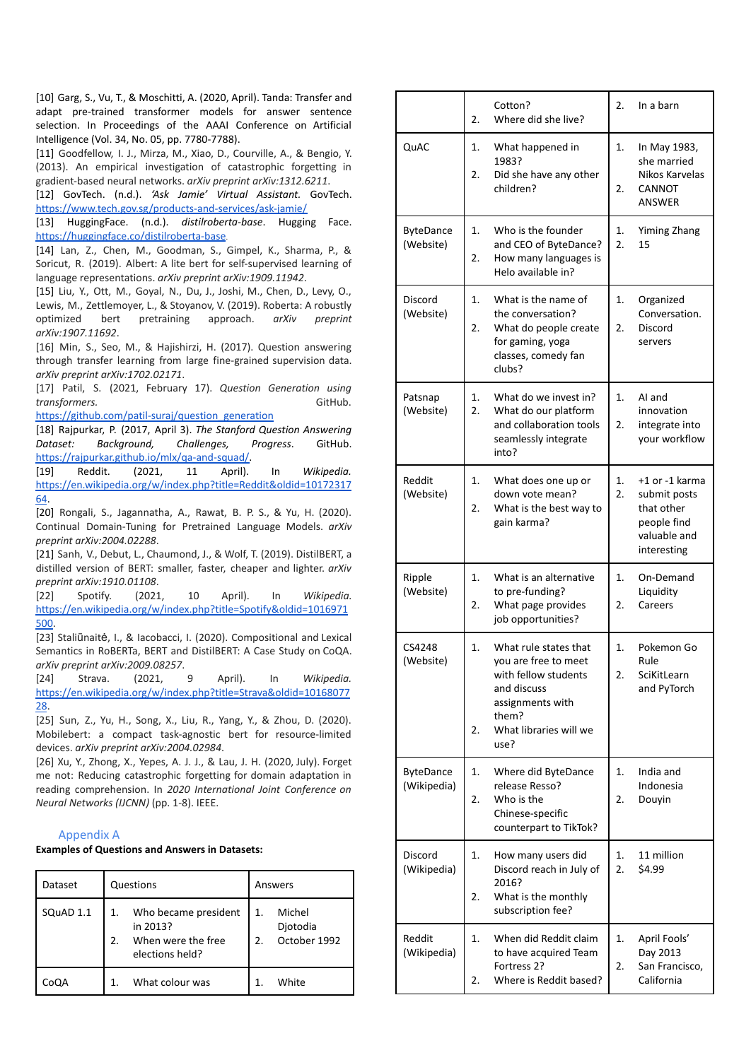[10] Garg, S., Vu, T., & Moschitti, A. (2020, April). Tanda: Transfer and adapt pre-trained transformer models for answer sentence selection. In Proceedings of the AAAI Conference on Artificial Intelligence (Vol. 34, No. 05, pp. 7780-7788).

[11] Goodfellow, I. J., Mirza, M., Xiao, D., Courville, A., & Bengio, Y. (2013). An empirical investigation of catastrophic forgetting in gradient-based neural networks. *arXiv preprint arXiv:1312.6211*.

[12] GovTech. (n.d.). *'Ask Jamie' Virtual Assistant.* GovTech. <https://www.tech.gov.sg/products-and-services/ask-jamie/>

[13] HuggingFace. (n.d.). *distilroberta-base*. Hugging Face. <https://huggingface.co/distilroberta-base>.

[14] Lan, Z., Chen, M., Goodman, S., Gimpel, K., Sharma, P., & Soricut, R. (2019). Albert: A lite bert for self-supervised learning of language representations. *arXiv preprint arXiv:1909.11942*.

[15] Liu, Y., Ott, M., Goyal, N., Du, J., Joshi, M., Chen, D., Levy, O., Lewis, M., Zettlemoyer, L., & Stoyanov, V. (2019). Roberta: A robustly optimized bert pretraining approach. *arXiv preprint arXiv:1907.11692*.

[16] Min, S., Seo, M., & Haiishirzi, H. (2017). Question answering through transfer learning from large fine-grained supervision data. *arXiv preprint arXiv:1702.02171*.

[17] Patil, S. (2021, February 17). *Question Generation using transformers.* GitHub.

[https://github.com/patil-suraj/question\\_generation](https://github.com/patil-suraj/question_generation)

[18] Rajpurkar, P. (2017, April 3). *The Stanford Question Answering Dataset: Background, Challenges, Progress*. GitHub. [https://rajpurkar.github.io/mlx/qa-and-squad/.](https://rajpurkar.github.io/mlx/qa-and-squad/)

[19] Reddit. (2021, 11 April). In *Wikipedia.* [https://en.wikipedia.org/w/index.php?title=Reddit&oldid=10172317](https://en.wikipedia.org/w/index.php?title=Reddit&oldid=1017231764) [64](https://en.wikipedia.org/w/index.php?title=Reddit&oldid=1017231764).

[20] Rongali, S., Jagannatha, A., Rawat, B. P. S., & Yu, H. (2020). Continual Domain-Tuning for Pretrained Language Models. *arXiv preprint arXiv:2004.02288*.

[21] Sanh, V., Debut, L., Chaumond, J., & Wolf, T. (2019). DistilBERT, a distilled version of BERT: smaller, faster, cheaper and lighter. *arXiv preprint arXiv:1910.01108*.

[22] Spotify. (2021, 10 April). In *Wikipedia.* [https://en.wikipedia.org/w/index.php?title=Spotify&oldid=1016971](https://en.wikipedia.org/w/index.php?title=Spotify&oldid=1016971500) [500](https://en.wikipedia.org/w/index.php?title=Spotify&oldid=1016971500).

[23] Staliūnaitė, I., & Iacobacci, I. (2020). Compositional and Lexical Semantics in RoBERTa, BERT and DistilBERT: A Case Study on CoQA. *arXiv preprint arXiv:2009.08257*.

[24] Strava. (2021, 9 April). In *Wikipedia.* [https://en.wikipedia.org/w/index.php?title=Strava&oldid=10168077](https://en.wikipedia.org/w/index.php?title=Strava&oldid=1016807728) [28](https://en.wikipedia.org/w/index.php?title=Strava&oldid=1016807728).

[25] Sun, Z., Yu, H., Song, X., Liu, R., Yang, Y., & Zhou, D. (2020). Mobilebert: a compact task-agnostic bert for resource-limited devices. *arXiv preprint arXiv:2004.02984*.

[26] Xu, Y., Zhong, X., Yepes, A. J. J., & Lau, J. H. (2020, July). Forget me not: Reducing catastrophic forgetting for domain adaptation in reading comprehension. In *2020 International Joint Conference on Neural Networks (IJCNN)* (pp. 1-8). IEEE.

## Appendix A

**Examples of Questions and Answers in Datasets:**

| Dataset   | Questions                                                                             | Answers                                                      |  |  |
|-----------|---------------------------------------------------------------------------------------|--------------------------------------------------------------|--|--|
| SQuAD 1.1 | Who became president<br>1.<br>in 2013?<br>2.<br>When were the free<br>elections held? | Michel<br>1.<br>Djotodia<br>October 1992<br>$\mathfrak{D}$ . |  |  |
| CoQA      | What colour was                                                                       | White                                                        |  |  |

|                                 | Cotton?<br>Where did she live?<br>2.                                                                                                                            | 2.<br>In a barn                                                                                        |
|---------------------------------|-----------------------------------------------------------------------------------------------------------------------------------------------------------------|--------------------------------------------------------------------------------------------------------|
| QuAC                            | 1.<br>What happened in<br>1983?<br>2.<br>Did she have any other<br>children?                                                                                    | 1.<br>In May 1983,<br>she married<br>Nikos Karvelas<br>2.<br>CANNOT<br><b>ANSWER</b>                   |
| <b>ByteDance</b><br>(Website)   | Who is the founder<br>1.<br>and CEO of ByteDance?<br>2.<br>How many languages is<br>Helo available in?                                                          | Yiming Zhang<br>1.<br>$\overline{2}$ .<br>15                                                           |
| <b>Discord</b><br>(Website)     | 1.<br>What is the name of<br>the conversation?<br>2.<br>What do people create<br>for gaming, yoga<br>classes, comedy fan<br>clubs?                              | 1.<br>Organized<br>Conversation.<br>Discord<br>2.<br>servers                                           |
| Patsnap<br>(Website)            | What do we invest in?<br>1.<br>2.<br>What do our platform<br>and collaboration tools<br>seamlessly integrate<br>into?                                           | 1.<br>AI and<br>innovation<br>2.<br>integrate into<br>your workflow                                    |
| Reddit<br>(Website)             | 1.<br>What does one up or<br>down vote mean?<br>2.<br>What is the best way to<br>gain karma?                                                                    | 1.<br>+1 or -1 karma<br>2.<br>submit posts<br>that other<br>people find<br>valuable and<br>interesting |
| Ripple<br>(Website)             | 1.<br>What is an alternative<br>to pre-funding?<br>2.<br>What page provides<br>job opportunities?                                                               | 1.<br>On-Demand<br>Liquidity<br>2.<br>Careers                                                          |
| CS4248<br>(Website)             | 1.<br>What rule states that<br>you are free to meet<br>with fellow students<br>and discuss<br>assignments with<br>them?<br>What libraries will we<br>2.<br>use? | 1.<br>Pokemon Go<br>Rule<br>2.<br>SciKitLearn<br>and PyTorch                                           |
| <b>ByteDance</b><br>(Wikipedia) | 1.<br>Where did ByteDance<br>release Resso?<br>2.<br>Who is the<br>Chinese-specific<br>counterpart to TikTok?                                                   | 1.<br>India and<br>Indonesia<br>2.<br>Douyin                                                           |
| <b>Discord</b><br>(Wikipedia)   | 1.<br>How many users did<br>Discord reach in July of<br>2016?<br>2.<br>What is the monthly<br>subscription fee?                                                 | 1.<br>11 million<br>2.<br>\$4.99                                                                       |
| Reddit<br>(Wikipedia)           | 1.<br>When did Reddit claim<br>to have acquired Team<br>Fortress 2?<br>Where is Reddit based?<br>2.                                                             | 1.<br>April Fools'<br>Day 2013<br>2.<br>San Francisco,<br>California                                   |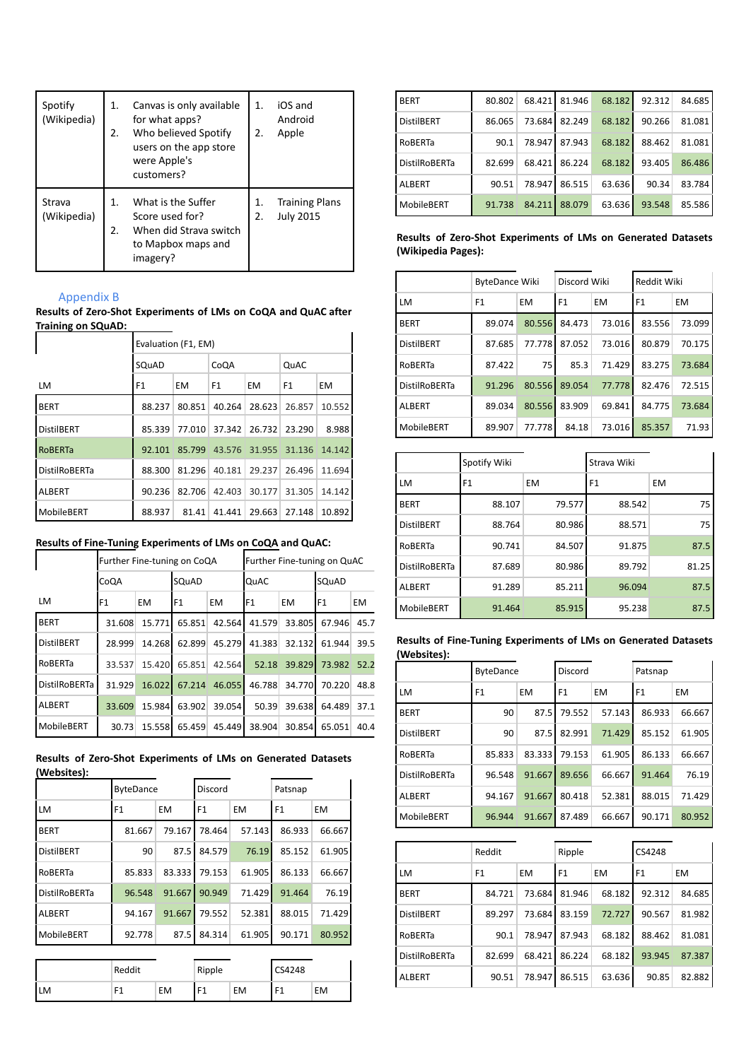| Spotify<br>(Wikipedia) | 1.<br>2. | Canvas is only available<br>for what apps?<br>Who believed Spotify<br>users on the app store<br>were Apple's<br>customers? | 1.<br>2. | iOS and<br>Android<br>Apple               |
|------------------------|----------|----------------------------------------------------------------------------------------------------------------------------|----------|-------------------------------------------|
| Strava<br>(Wikipedia)  | 1.<br>2. | What is the Suffer<br>Score used for?<br>When did Strava switch<br>to Mapbox maps and<br>imagery?                          | 1.<br>2. | <b>Training Plans</b><br><b>July 2015</b> |

# Appendix B

**Results of Zero-Shot Experiments of LMs on CoQA and QuAC after Training on SQuAD:**  $\mathbf{I}$ 

|                      | Evaluation (F1, EM) |           |                |               |        |           |  |
|----------------------|---------------------|-----------|----------------|---------------|--------|-----------|--|
|                      | SQuAD               |           | CoQA           |               | QuAC   |           |  |
| LM                   | F <sub>1</sub>      | <b>EM</b> | F <sub>1</sub> | <b>EM</b>     | F1     | <b>EM</b> |  |
| <b>BERT</b>          | 88.237              | 80.851    | 40.264         | 28.623        | 26.857 | 10.552    |  |
| <b>DistilBERT</b>    | 85.339              | 77.010    | 37.342         | 26.732        | 23.290 | 8.988     |  |
| <b>ROBERTa</b>       | 92.101              | 85.799    |                | 43.576 31.955 | 31.136 | 14.142    |  |
| <b>DistilRoBERTa</b> | 88.300              | 81.296    | 40.181         | 29.237        | 26.496 | 11.694    |  |
| <b>ALBERT</b>        | 90.236              | 82.706    | 42.403         | 30.177        | 31.305 | 14.142    |  |
| MobileBERT           | 88.937              | 81.41     | 41.441         | 29.663        | 27.148 | 10.892    |  |

# **Results of Fine-Tuning Experiments of LMs on CoQA and QuAC:**

|                      | Further Fine-tuning on CoQA |           |              | Further Fine-tuning on QuAC |                |           |                 |           |
|----------------------|-----------------------------|-----------|--------------|-----------------------------|----------------|-----------|-----------------|-----------|
|                      | CoQA                        |           | <b>SQuAD</b> |                             | QuAC           |           | SQuAD           |           |
| LM                   | F1                          | <b>EM</b> | IF1          | <b>EM</b>                   | F <sub>1</sub> | <b>EM</b> | IF <sub>1</sub> | <b>EM</b> |
| <b>BERT</b>          | 31.608                      | 15.771    | 65.851       | 42.564                      | 41.579         | 33.805    | 67.946          | 45.7      |
| <b>DistilBERT</b>    | 28.999                      | 14.268    | 62.899       | 45.279                      | 41.383         | 32.132    | 61.944          | 39.5      |
| RoBERTa              | 33.537                      | 15.420    | 65.851       | 42.564                      | 52.18          | 39.829    | 73.982          | 52.2      |
| <b>DistilRoBERTa</b> | 31.929                      | 16.022    | 67.214       | 46.055                      | 46.788         | 34.770    | 70.220          | 48.8      |
| ALBERT               | 33.609                      | 15.984    | 63.902       | 39.054                      | 50.39          | 39.638    | 64.489          | 37.1      |
| MobileBERT           | 30.73                       | 15.558    | 65.459       | 45.449                      | 38.904         | 30.854    | 65.051          | 40.4      |

|             |  | Results of Zero-Shot Experiments of LMs on Generated Datasets |  |  |  |
|-------------|--|---------------------------------------------------------------|--|--|--|
| (Websites): |  |                                                               |  |  |  |

|                      | <b>ByteDance</b> |           | Discord        |           | Patsnap        |           |  |
|----------------------|------------------|-----------|----------------|-----------|----------------|-----------|--|
| LM                   | F <sub>1</sub>   | <b>EM</b> | F <sub>1</sub> | <b>EM</b> | F <sub>1</sub> | <b>EM</b> |  |
| <b>BERT</b>          | 81.667           | 79.167    | 78.464         | 57.143    | 86.933         | 66.667    |  |
| <b>DistilBERT</b>    | 90               | 87.5      | 84.579         | 76.19     | 85.152         | 61.905    |  |
| RoBERTa              | 85.833           | 83.333    | 79.153         | 61.905    | 86.133         | 66.667    |  |
| <b>DistilRoBERTa</b> | 96.548           | 91.667    | 90.949         | 71.429    | 91.464         | 76.19     |  |
| <b>ALBERT</b>        | 94.167           | 91.667    | 79.552         | 52.381    | 88.015         | 71.429    |  |
| MobileBERT           | 92.778           | 87.5      | 84.314         | 61.905    | 90.171         | 80.952    |  |

|    | Reddit |           | Ripple         |           | CS4248         |           |
|----|--------|-----------|----------------|-----------|----------------|-----------|
| LM | F1     | <b>EM</b> | E <sub>1</sub> | <b>EM</b> | F <sub>1</sub> | <b>EM</b> |

| <b>BERT</b>          | 80.802 | 68.421 | 81.946 | 68.182 | 92.312 | 84.685 |
|----------------------|--------|--------|--------|--------|--------|--------|
| <b>DistilBERT</b>    | 86.065 | 73.684 | 82.249 | 68.182 | 90.266 | 81.081 |
| RoBERTa              | 90.1   | 78.947 | 87.943 | 68.182 | 88.462 | 81.081 |
| <b>DistilRoBERTa</b> | 82.699 | 68.421 | 86.224 | 68.182 | 93.405 | 86.486 |
| <b>ALBERT</b>        | 90.51  | 78.947 | 86.515 | 63.636 | 90.34  | 83.784 |
| MobileBERT           | 91.738 | 84.211 | 88.079 | 63.636 | 93.548 | 85.586 |

## **Results of Zero-Shot Experiments of LMs on Generated Datasets (Wikipedia Pages):**

|                      | <b>ByteDance Wiki</b> |           | Discord Wiki |           | Reddit Wiki    |        |
|----------------------|-----------------------|-----------|--------------|-----------|----------------|--------|
| LM                   | F <sub>1</sub>        | <b>EM</b> | F1           | <b>EM</b> | F <sub>1</sub> | EM     |
| <b>BERT</b>          | 89.074                | 80.556    | 84.473       | 73.016    | 83.556         | 73.099 |
| <b>DistilBERT</b>    | 87.685                | 77.778    | 87.052       | 73.016    | 80.879         | 70.175 |
| ROBERTa              | 87.422                | 75        | 85.3         | 71.429    | 83.275         | 73.684 |
| <b>DistilRoBERTa</b> | 91.296                | 80.556    | 89.054       | 77.778    | 82.476         | 72.515 |
| <b>ALBERT</b>        | 89.034                | 80.556    | 83.909       | 69.841    | 84.775         | 73.684 |
| MobileBERT           | 89.907                | 77.778    | 84.18        | 73.016    | 85.357         | 71.93  |

|                      | Spotify Wiki |           | Strava Wiki    |           |
|----------------------|--------------|-----------|----------------|-----------|
| LM                   | F1           | <b>EM</b> | F <sub>1</sub> | <b>EM</b> |
| <b>BERT</b>          | 88.107       | 79.577    | 88.542         | 75        |
| <b>DistilBERT</b>    | 88.764       | 80.986    | 88.571         | 75        |
| RoBERTa              | 90.741       | 84.507    | 91.875         | 87.5      |
| <b>DistilRoBERTa</b> | 87.689       | 80.986    | 89.792         | 81.25     |
| <b>ALBERT</b>        | 91.289       | 85.211    | 96.094         | 87.5      |
| MobileBERT           | 91.464       | 85.915    | 95.238         | 87.5      |

| Results of Fine-Tuning Experiments of LMs on Generated Datasets |  |  |  |
|-----------------------------------------------------------------|--|--|--|
| (Websites):                                                     |  |  |  |

|                      | <b>ByteDance</b> |           | Discord        |        | Patsnap        |        |
|----------------------|------------------|-----------|----------------|--------|----------------|--------|
| LM                   | F1               | <b>EM</b> | F <sub>1</sub> | EM     | F <sub>1</sub> | EM     |
| <b>BERT</b>          | 90               | 87.5      | 79.552         | 57.143 | 86.933         | 66.667 |
| <b>DistilBERT</b>    | 90               | 87.5      | 82.991         | 71.429 | 85.152         | 61.905 |
| ROBERTa              | 85.833           | 83.333    | 79.153         | 61.905 | 86.133         | 66.667 |
| <b>DistilRoBERTa</b> | 96.548           | 91.667    | 89.656         | 66.667 | 91.464         | 76.19  |
| <b>ALBERT</b>        | 94.167           | 91.667    | 80.418         | 52.381 | 88.015         | 71.429 |
| MobileBERT           | 96.944           | 91.667    | 87.489         | 66.667 | 90.171         | 80.952 |

|                      | Reddit         |        |                |        | CS4248         |        |  |
|----------------------|----------------|--------|----------------|--------|----------------|--------|--|
| LM                   | F <sub>1</sub> | EM     | F <sub>1</sub> | EM     | F <sub>1</sub> | EM     |  |
| <b>BERT</b>          | 84.721         | 73.684 | 81.946         | 68.182 | 92.312         | 84.685 |  |
| <b>DistilBERT</b>    | 89.297         | 73.684 | 83.159         | 72.727 | 90.567         | 81.982 |  |
| ROBERTa              | 90.1           | 78.947 | 87.943         | 68.182 | 88.462         | 81.081 |  |
| <b>DistilRoBERTa</b> | 82.699         | 68.421 | 86.224         | 68.182 | 93.945         | 87.387 |  |
| <b>ALBERT</b>        | 90.51          | 78.947 | 86.515         | 63.636 | 90.85          | 82.882 |  |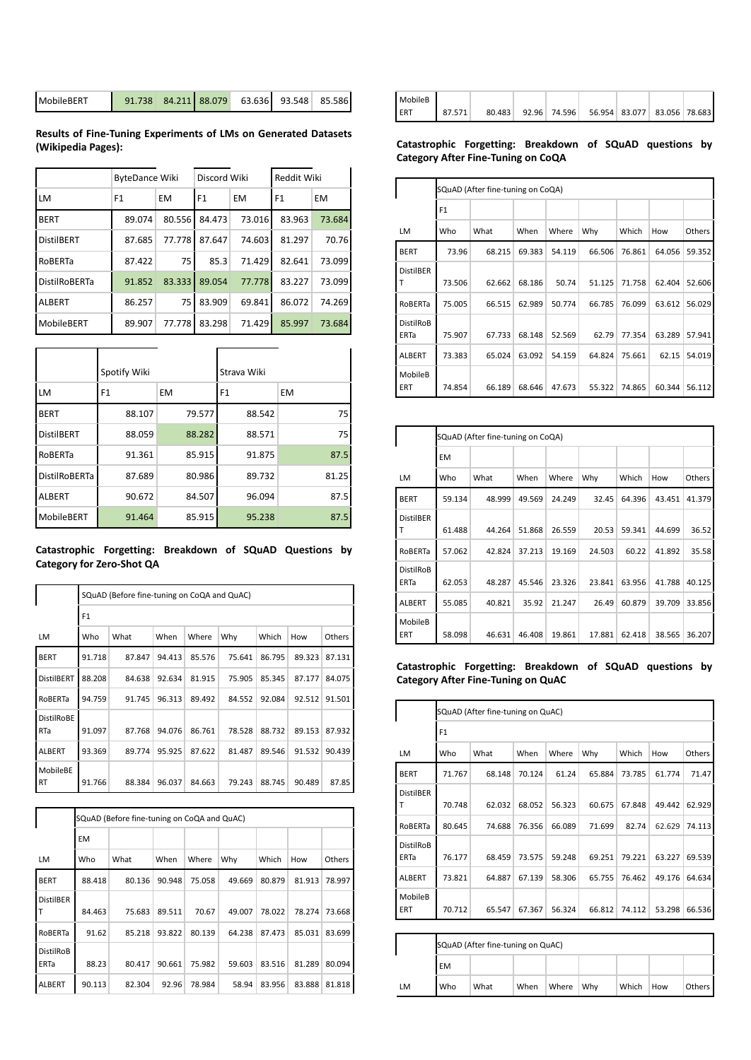| MobileBERT | $91.738$ 84.211 88.079 |  |  | 63.636 93.548 85.586 |  |  |
|------------|------------------------|--|--|----------------------|--|--|
|------------|------------------------|--|--|----------------------|--|--|

**Results of Fine-Tuning Experiments of LMs on Generated Datasets (Wikipedia Pages):**

|                      | <b>ByteDance Wiki</b> |           | Discord Wiki   |           | Reddit Wiki    |           |  |
|----------------------|-----------------------|-----------|----------------|-----------|----------------|-----------|--|
| LM                   | F <sub>1</sub>        | <b>EM</b> | F <sub>1</sub> | <b>EM</b> | F <sub>1</sub> | <b>EM</b> |  |
| <b>BERT</b>          | 89.074                | 80.556    | 84.473         | 73.016    | 83.963         | 73.684    |  |
| <b>DistilBERT</b>    | 87.685                | 77.778    | 87.647         | 74.603    | 81.297         | 70.76     |  |
| ROBERTa              | 87.422                | 75        | 85.3           | 71.429    | 82.641         | 73.099    |  |
| <b>DistilRoBERTa</b> | 91.852                | 83.333    | 89.054         | 77.778    | 83.227         | 73.099    |  |
| <b>ALBERT</b>        | 86.257                | 75        | 83.909         | 69.841    | 86.072         | 74.269    |  |
| MobileBERT           | 89.907                | 77.778    | 83.298         | 71.429    | 85.997         | 73.684    |  |

|                      | Spotify Wiki |           | Strava Wiki    |                 |
|----------------------|--------------|-----------|----------------|-----------------|
| <b>LM</b>            | F1           | <b>EM</b> | F <sub>1</sub> | <b>EM</b>       |
| <b>BERT</b>          | 88.107       | 79.577    | 88.542         | 75 <sup>1</sup> |
| <b>DistilBERT</b>    | 88.059       | 88.282    | 88.571         | 75              |
| RoBERTa              | 91.361       | 85.915    | 91.875         | 87.5            |
| <b>DistilRoBERTa</b> | 87.689       | 80.986    | 89.732         | 81.25           |
| <b>ALBERT</b>        | 90.672       | 84.507    | 96.094         | 87.5            |
| MobileBERT           | 91.464       | 85.915    | 95.238         | 87.5            |

## **Catastrophic Forgetting: Breakdown of SQuAD Questions by Category for Zero-Shot QA**

|                          |                | SQuAD (Before fine-tuning on CoQA and QuAC) |        |        |        |        |        |        |  |  |  |  |
|--------------------------|----------------|---------------------------------------------|--------|--------|--------|--------|--------|--------|--|--|--|--|
|                          | F <sub>1</sub> |                                             |        |        |        |        |        |        |  |  |  |  |
| LM                       | Who            | What                                        | When   | Where  | Why    | Which  | How    | Others |  |  |  |  |
| <b>BERT</b>              | 91.718         | 87.847                                      | 94.413 | 85.576 | 75.641 | 86.795 | 89.323 | 87.131 |  |  |  |  |
| <b>DistilBERT</b>        | 88.208         | 84.638                                      | 92.634 | 81.915 | 75.905 | 85.345 | 87.177 | 84.075 |  |  |  |  |
| RoBERTa                  | 94.759         | 91.745                                      | 96.313 | 89.492 | 84.552 | 92.084 | 92.512 | 91.501 |  |  |  |  |
| <b>DistilRoBE</b><br>RTa | 91.097         | 87.768                                      | 94.076 | 86.761 | 78.528 | 88.732 | 89.153 | 87.932 |  |  |  |  |
| <b>ALBERT</b>            | 93.369         | 89.774                                      | 95.925 | 87.622 | 81.487 | 89.546 | 91.532 | 90.439 |  |  |  |  |
| MobileBE<br>RT           | 91.766         | 88.384                                      | 96.037 | 84.663 | 79.243 | 88.745 | 90.489 | 87.85  |  |  |  |  |

|                          |        | SQuAD (Before fine-tuning on CoQA and QuAC) |        |        |        |        |        |               |
|--------------------------|--------|---------------------------------------------|--------|--------|--------|--------|--------|---------------|
|                          | EM     |                                             |        |        |        |        |        |               |
| LM                       | Who    | What                                        | When   | Where  | Why    | Which  | How    | <b>Others</b> |
| <b>BERT</b>              | 88.418 | 80.136                                      | 90.948 | 75.058 | 49.669 | 80.879 | 81.913 | 78.997        |
| <b>DistilBER</b><br>T    | 84.463 | 75.683                                      | 89.511 | 70.67  | 49.007 | 78.022 | 78.274 | 73.668        |
| RoBERTa                  | 91.62  | 85.218                                      | 93.822 | 80.139 | 64.238 | 87.473 | 85.031 | 83.699        |
| <b>DistilRoB</b><br>ERTa | 88.23  | 80.417                                      | 90.661 | 75.982 | 59.603 | 83.516 | 81.289 | 80.094        |
| <b>ALBERT</b>            | 90.113 | 82.304                                      | 92.96  | 78.984 | 58.94  | 83.956 | 83.888 | 81.818        |

| MobileB |        |  |                                                 |  |  |
|---------|--------|--|-------------------------------------------------|--|--|
| ERT     | 87.571 |  | 80.483 92.96 74.596 56.954 83.077 83.056 78.683 |  |  |

## **Catastrophic Forgetting: Breakdown of SQuAD questions by Category After Fine-Tuning on CoQA**

|                                 |                | SQuAD (After fine-tuning on CoQA) |        |        |        |        |        |        |  |  |
|---------------------------------|----------------|-----------------------------------|--------|--------|--------|--------|--------|--------|--|--|
|                                 | F <sub>1</sub> |                                   |        |        |        |        |        |        |  |  |
| LM                              | Who            | What                              | When   | Where  | Why    | Which  | How    | Others |  |  |
| <b>BERT</b>                     | 73.96          | 68.215                            | 69.383 | 54.119 | 66.506 | 76.861 | 64.056 | 59.352 |  |  |
| <b>DistilBER</b><br>т           | 73.506         | 62.662                            | 68.186 | 50.74  | 51.125 | 71.758 | 62.404 | 52.606 |  |  |
| RoBERTa                         | 75.005         | 66.515                            | 62.989 | 50.774 | 66.785 | 76.099 | 63.612 | 56.029 |  |  |
| <b>DistilRoB</b><br><b>ERTa</b> | 75.907         | 67.733                            | 68.148 | 52.569 | 62.79  | 77.354 | 63.289 | 57.941 |  |  |
| <b>ALBERT</b>                   | 73.383         | 65.024                            | 63.092 | 54.159 | 64.824 | 75.661 | 62.15  | 54.019 |  |  |
| MobileB<br>ERT                  | 74.854         | 66.189                            | 68.646 | 47.673 | 55.322 | 74.865 | 60.344 | 56.112 |  |  |

|                                 |        | SQuAD (After fine-tuning on CoQA) |        |        |        |        |        |               |
|---------------------------------|--------|-----------------------------------|--------|--------|--------|--------|--------|---------------|
|                                 | EM     |                                   |        |        |        |        |        |               |
| LM                              | Who    | What                              | When   | Where  | Why    | Which  | How    | <b>Others</b> |
| <b>BERT</b>                     | 59.134 | 48.999                            | 49.569 | 24.249 | 32.45  | 64.396 | 43.451 | 41.379        |
| <b>DistilBER</b><br>Т           | 61.488 | 44.264                            | 51.868 | 26.559 | 20.53  | 59.341 | 44.699 | 36.52         |
| RoBERTa                         | 57.062 | 42.824                            | 37.213 | 19.169 | 24.503 | 60.22  | 41.892 | 35.58         |
| <b>DistilRoB</b><br><b>ERTa</b> | 62.053 | 48.287                            | 45.546 | 23.326 | 23.841 | 63.956 | 41.788 | 40.125        |
| <b>ALBERT</b>                   | 55.085 | 40.821                            | 35.92  | 21.247 | 26.49  | 60.879 | 39.709 | 33.856        |
| MobileB<br>ERT                  | 58.098 | 46.631                            | 46.408 | 19.861 | 17.881 | 62.418 | 38.565 | 36.207        |

**Catastrophic Forgetting: Breakdown of SQuAD questions by Category After Fine-Tuning on QuAC**

|                          |                | SQuAD (After fine-tuning on QuAC)                             |        |        |        |        |        |        |  |  |  |  |
|--------------------------|----------------|---------------------------------------------------------------|--------|--------|--------|--------|--------|--------|--|--|--|--|
|                          | F <sub>1</sub> |                                                               |        |        |        |        |        |        |  |  |  |  |
| LM                       | Who            | What<br>When<br>Where<br>Why<br>Which<br>How<br><b>Others</b> |        |        |        |        |        |        |  |  |  |  |
| <b>BERT</b>              | 71.767         | 68.148                                                        | 70.124 | 61.24  | 65.884 | 73.785 | 61.774 | 71.47  |  |  |  |  |
| <b>DistilBER</b><br>т    | 70.748         | 62.032                                                        | 68.052 | 56.323 | 60.675 | 67.848 | 49.442 | 62.929 |  |  |  |  |
| RoBERTa                  | 80.645         | 74.688                                                        | 76.356 | 66.089 | 71.699 | 82.74  | 62.629 | 74.113 |  |  |  |  |
| <b>DistilRoB</b><br>ERTa | 76.177         | 68.459                                                        | 73.575 | 59.248 | 69.251 | 79.221 | 63.227 | 69.539 |  |  |  |  |
| <b>ALBERT</b>            | 73.821         | 64.887                                                        | 67.139 | 58.306 | 65.755 | 76.462 | 49.176 | 64.634 |  |  |  |  |
| <b>MobileB</b><br>ERT    | 70.712         | 65.547                                                        | 67.367 | 56.324 | 66.812 | 74.112 | 53.298 | 66.536 |  |  |  |  |

|           |     | SQuAD (After fine-tuning on QuAC) |      |       |     |       |     |          |  |
|-----------|-----|-----------------------------------|------|-------|-----|-------|-----|----------|--|
| <b>EM</b> |     |                                   |      |       |     |       |     |          |  |
| LM        | Who | What                              | When | Where | Why | Which | How | Others I |  |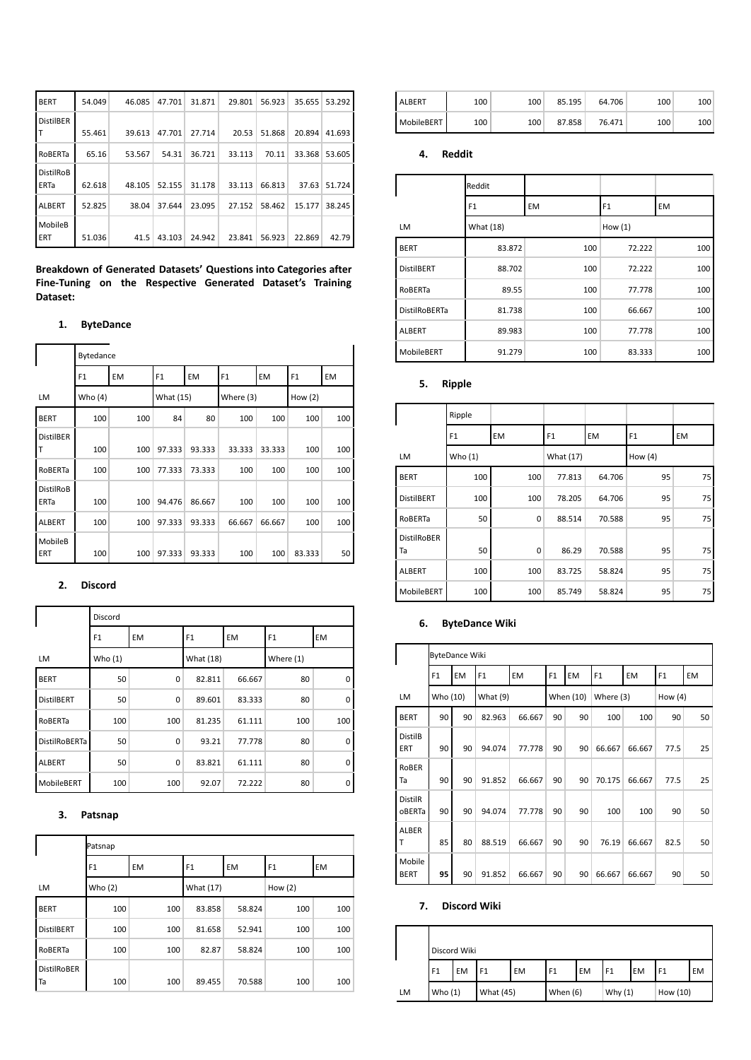| <b>BERT</b>                     | 54.049 | 46.085 | 47.701 | 31.871 | 29.801 | 56.923 | 35.655 | 53.292 |
|---------------------------------|--------|--------|--------|--------|--------|--------|--------|--------|
| <b>DistilBER</b>                | 55.461 | 39.613 | 47.701 | 27.714 | 20.53  | 51.868 | 20.894 | 41.693 |
| RoBERTa                         | 65.16  | 53.567 | 54.31  | 36.721 | 33.113 | 70.11  | 33.368 | 53.605 |
| <b>DistilRoB</b><br><b>ERTa</b> | 62.618 | 48.105 | 52.155 | 31.178 | 33.113 | 66.813 | 37.63  | 51.724 |
| <b>ALBERT</b>                   | 52.825 | 38.04  | 37.644 | 23.095 | 27.152 | 58.462 | 15.177 | 38.245 |
| MobileB<br>ERT                  | 51.036 | 41.5   | 43.103 | 24.942 | 23.841 | 56.923 | 22.869 | 42.79  |

**Breakdown of Generated Datasets' Questions into Categories after Fine-Tuning on the Respective Generated Dataset's Training Dataset:**

# **1. ByteDance**

|                                 | Bytedance      |     |           |        |                |           |                |     |
|---------------------------------|----------------|-----|-----------|--------|----------------|-----------|----------------|-----|
|                                 | F <sub>1</sub> | EM  | F1        | EM     | F <sub>1</sub> | <b>EM</b> | F <sub>1</sub> | EM  |
| LM                              | Who (4)        |     | What (15) |        | Where (3)      |           | How $(2)$      |     |
| <b>BERT</b>                     | 100            | 100 | 84        | 80     | 100            | 100       | 100            | 100 |
| <b>DistilBER</b><br>т           | 100            | 100 | 97.333    | 93.333 | 33.333         | 33.333    | 100            | 100 |
| RoBERTa                         | 100            | 100 | 77.333    | 73.333 | 100            | 100       | 100            | 100 |
| <b>DistilRoB</b><br><b>ERTa</b> | 100            | 100 | 94.476    | 86.667 | 100            | 100       | 100            | 100 |
| <b>ALBERT</b>                   | 100            | 100 | 97.333    | 93.333 | 66.667         | 66.667    | 100            | 100 |
| MobileB<br>ERT                  | 100            | 100 | 97.333    | 93.333 | 100            | 100       | 83.333         | 50  |

# **2. Discord**

|                      | Discord        |           |                |           |                |     |
|----------------------|----------------|-----------|----------------|-----------|----------------|-----|
|                      | F <sub>1</sub> | <b>EM</b> | F <sub>1</sub> | <b>EM</b> | F <sub>1</sub> | EM  |
| LM                   | Who $(1)$      |           | What (18)      |           | Where $(1)$    |     |
| <b>BERT</b>          | 50             | 0         | 82.811         | 66.667    | 80             | 0   |
| <b>DistilBERT</b>    | 50             | $\Omega$  | 89.601         | 83.333    | 80             | 0   |
| RoBERTa              | 100            | 100       | 81.235         | 61.111    | 100            | 100 |
| <b>DistilRoBERTa</b> | 50             | 0         | 93.21          | 77.778    | 80             | 0   |
| <b>ALBERT</b>        | 50             | 0         | 83.821         | 61.111    | 80             | 0   |
| MobileBERT           | 100            | 100       | 92.07          | 72.222    | 80             | 0   |

## **3. Patsnap**

|                          | Patsnap        |     |                |           |                |           |
|--------------------------|----------------|-----|----------------|-----------|----------------|-----------|
|                          | F <sub>1</sub> | EM  | F <sub>1</sub> | <b>EM</b> | F <sub>1</sub> | <b>EM</b> |
| LM                       | Who $(2)$      |     | What (17)      |           | How $(2)$      |           |
| <b>BERT</b>              | 100            | 100 | 83.858         | 58.824    | 100            | 100       |
| <b>DistilBERT</b>        | 100            | 100 | 81.658         | 52.941    | 100            | 100       |
| RoBERTa                  | 100            | 100 | 82.87          | 58.824    | 100            | 100       |
| <b>DistilRoBER</b><br>Ta | 100            | 100 | 89.455         | 70.588    | 100            | 100       |

| <b>ALBERT</b> | 100 | 100 | 85.195 | 64.706 | 100              | 100 |
|---------------|-----|-----|--------|--------|------------------|-----|
| MobileBERT    | 100 | 100 | 87.858 | 76.471 | 100 <sub>1</sub> | 100 |

## **4. Reddit**

|                      | Reddit         |           |                |           |
|----------------------|----------------|-----------|----------------|-----------|
|                      | F <sub>1</sub> | <b>EM</b> | F <sub>1</sub> | <b>EM</b> |
| LM                   | What (18)      |           | How (1)        |           |
| <b>BERT</b>          | 83.872         | 100       | 72.222         | 100       |
| <b>DistilBERT</b>    | 88.702         | 100       | 72.222         | 100       |
| RoBERTa              | 89.55          | 100       | 77.778         | 100       |
| <b>DistilRoBERTa</b> | 81.738         | 100       | 66.667         | 100       |
| <b>ALBERT</b>        | 89.983         | 100       | 77.778         | 100       |
| MobileBERT           | 91.279         | 100       | 83.333         | 100       |

# **5. Ripple**

|                          | Ripple         |     |           |        |                |    |
|--------------------------|----------------|-----|-----------|--------|----------------|----|
|                          | F <sub>1</sub> | EM  | F1        | EM     | F <sub>1</sub> | EM |
| LM                       | Who $(1)$      |     | What (17) |        | How $(4)$      |    |
| <b>BERT</b>              | 100            | 100 | 77.813    | 64.706 | 95             | 75 |
| <b>DistilBERT</b>        | 100            | 100 | 78.205    | 64.706 | 95             | 75 |
| RoBERTa                  | 50             | 0   | 88.514    | 70.588 | 95             | 75 |
| <b>DistilRoBER</b><br>Ta | 50             | 0   | 86.29     | 70.588 | 95             | 75 |
| <b>ALBERT</b>            | 100            | 100 | 83.725    | 58.824 | 95             | 75 |
| MobileBERT               | 100            | 100 | 85.749    | 58.824 | 95             | 75 |

# **6. ByteDance Wiki**

|                          |                | <b>ByteDance Wiki</b> |                |           |    |           |                |           |                |           |
|--------------------------|----------------|-----------------------|----------------|-----------|----|-----------|----------------|-----------|----------------|-----------|
|                          | F <sub>1</sub> | <b>EM</b>             | F <sub>1</sub> | <b>EM</b> | F1 | <b>EM</b> | F <sub>1</sub> | <b>EM</b> | F <sub>1</sub> | <b>EM</b> |
| LM                       | Who (10)       |                       | What (9)       |           |    | When (10) | Where (3)      |           | How $(4)$      |           |
| <b>BERT</b>              | 90             | 90                    | 82.963         | 66.667    | 90 | 90        | 100            | 100       | 90             | 50        |
| <b>DistilB</b><br>ERT    | 90             | 90                    | 94.074         | 77.778    | 90 | 90        | 66.667         | 66.667    | 77.5           | 25        |
| <b>RoBER</b><br>Та       | 90             | 90                    | 91.852         | 66.667    | 90 | 90        | 70.175         | 66.667    | 77.5           | 25        |
| <b>DistilR</b><br>oBERTa | 90             | 90                    | 94.074         | 77.778    | 90 | 90        | 100            | 100       | 90             | 50        |
| <b>ALBER</b><br>т        | 85             | 80                    | 88.519         | 66.667    | 90 | 90        | 76.19          | 66.667    | 82.5           | 50        |
| Mobile<br><b>BERT</b>    | 95             | 90                    | 91.852         | 66.667    | 90 | 90        | 66.667         | 66.667    | 90             | 50        |

## **7. Discord Wiki**

|    |                        | Discord Wiki |                |           |                |           |                |           |          |           |
|----|------------------------|--------------|----------------|-----------|----------------|-----------|----------------|-----------|----------|-----------|
|    | F <sub>1</sub>         | EM           | F <sub>1</sub> | <b>EM</b> | F <sub>1</sub> | <b>EM</b> | F <sub>1</sub> | <b>EM</b> | l F1     | <b>EM</b> |
| LM | Who $(1)$<br>What (45) |              |                |           | When (6)       |           | Why $(1)$      |           | How (10) |           |